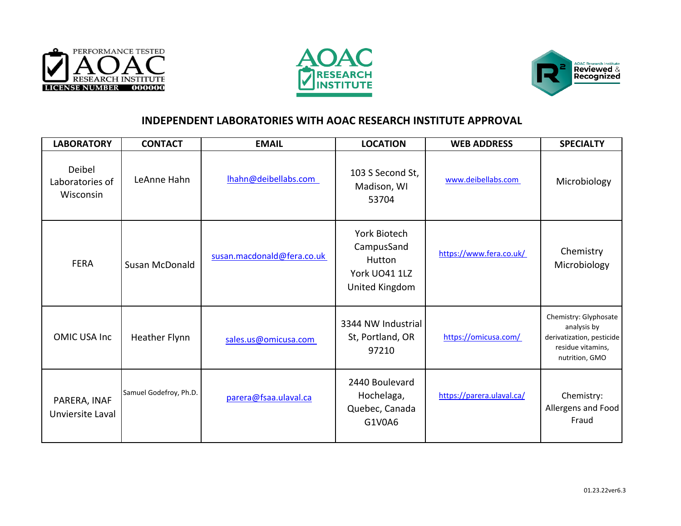





## **INDEPENDENT LABORATORIES WITH AOAC RESEARCH INSTITUTE APPROVAL**

| <b>LABORATORY</b>                      | <b>CONTACT</b>         | <b>EMAIL</b>               | <b>LOCATION</b>                                                         | <b>WEB ADDRESS</b>        | <b>SPECIALTY</b>                                                                                         |
|----------------------------------------|------------------------|----------------------------|-------------------------------------------------------------------------|---------------------------|----------------------------------------------------------------------------------------------------------|
| Deibel<br>Laboratories of<br>Wisconsin | LeAnne Hahn            | Ihahn@deibellabs.com       | 103 S Second St,<br>Madison, WI<br>53704                                | www.deibellabs.com        | Microbiology                                                                                             |
| <b>FERA</b>                            | Susan McDonald         | susan.macdonald@fera.co.uk | York Biotech<br>CampusSand<br>Hutton<br>York UO41 1LZ<br>United Kingdom | https://www.fera.co.uk/   | Chemistry<br>Microbiology                                                                                |
| <b>OMIC USA Inc</b>                    | Heather Flynn          | sales.us@omicusa.com       | 3344 NW Industrial<br>St, Portland, OR<br>97210                         | https://omicusa.com/      | Chemistry: Glyphosate<br>analysis by<br>derivatization, pesticide<br>residue vitamins,<br>nutrition, GMO |
| PARERA, INAF<br>Unviersite Laval       | Samuel Godefroy, Ph.D. | parera@fsaa.ulaval.ca      | 2440 Boulevard<br>Hochelaga,<br>Quebec, Canada<br>G1V0A6                | https://parera.ulaval.ca/ | Chemistry:<br>Allergens and Food<br>Fraud                                                                |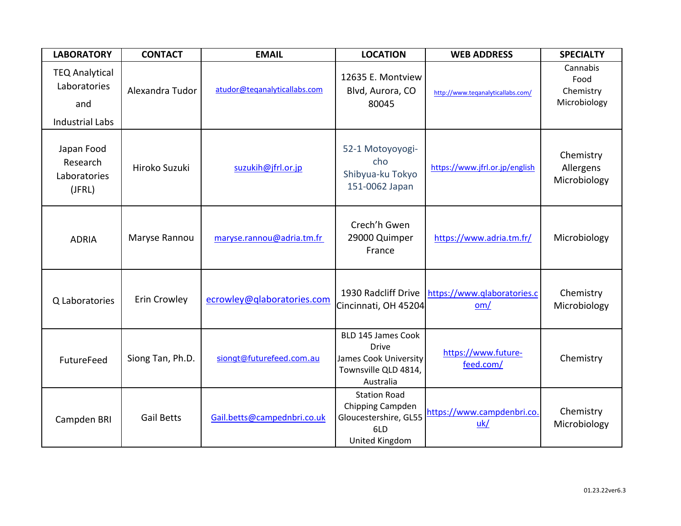| <b>LABORATORY</b>                                                      | <b>CONTACT</b>    | <b>EMAIL</b>                 | <b>LOCATION</b>                                                                                  | <b>WEB ADDRESS</b>                 | <b>SPECIALTY</b>                              |
|------------------------------------------------------------------------|-------------------|------------------------------|--------------------------------------------------------------------------------------------------|------------------------------------|-----------------------------------------------|
| <b>TEQ Analytical</b><br>Laboratories<br>and<br><b>Industrial Labs</b> | Alexandra Tudor   | atudor@teqanalyticallabs.com | 12635 E. Montview<br>Blvd, Aurora, CO<br>80045                                                   | http://www.teganalyticallabs.com/  | Cannabis<br>Food<br>Chemistry<br>Microbiology |
| Japan Food<br>Research<br>Laboratories<br>(JFRL)                       | Hiroko Suzuki     | suzukih@jfrl.or.jp           | 52-1 Motoyoyogi-<br>cho<br>Shibyua-ku Tokyo<br>151-0062 Japan                                    | https://www.jfrl.or.jp/english     | Chemistry<br>Allergens<br>Microbiology        |
| <b>ADRIA</b>                                                           | Maryse Rannou     | maryse.rannou@adria.tm.fr    | Crech'h Gwen<br>29000 Quimper<br>France                                                          | https://www.adria.tm.fr/           | Microbiology                                  |
| Q Laboratories                                                         | Erin Crowley      | ecrowley@qlaboratories.com   | 1930 Radcliff Drive<br>Cincinnati, OH 45204                                                      | https://www.qlaboratories.c<br>om/ | Chemistry<br>Microbiology                     |
| FutureFeed                                                             | Siong Tan, Ph.D.  | siongt@futurefeed.com.au     | BLD 145 James Cook<br><b>Drive</b><br>James Cook University<br>Townsville QLD 4814,<br>Australia | https://www.future-<br>feed.com/   | Chemistry                                     |
| Campden BRI                                                            | <b>Gail Betts</b> | Gail.betts@campednbri.co.uk  | <b>Station Road</b><br>Chipping Campden<br>Gloucestershire, GL55<br>6LD<br>United Kingdom        | https://www.campdenbri.co.<br>uk/  | Chemistry<br>Microbiology                     |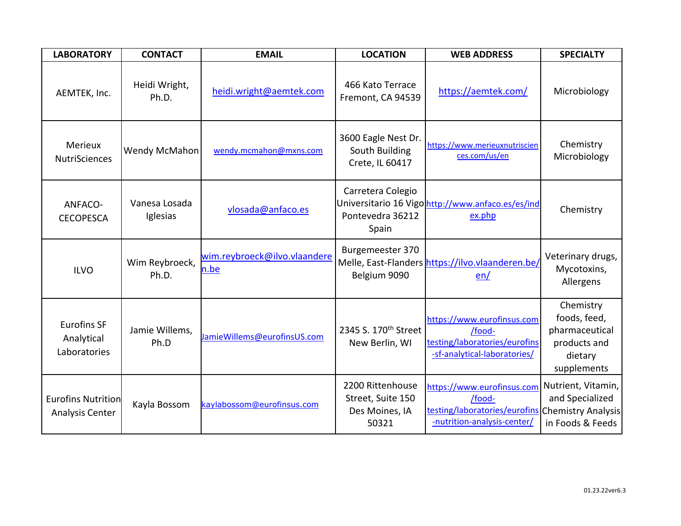| <b>LABORATORY</b>                                | <b>CONTACT</b>            | <b>EMAIL</b>                         | <b>LOCATION</b>                                                  | <b>WEB ADDRESS</b>                                                                                                      | <b>SPECIALTY</b>                                                                      |
|--------------------------------------------------|---------------------------|--------------------------------------|------------------------------------------------------------------|-------------------------------------------------------------------------------------------------------------------------|---------------------------------------------------------------------------------------|
| AEMTEK, Inc.                                     | Heidi Wright,<br>Ph.D.    | heidi.wright@aemtek.com              | 466 Kato Terrace<br>Fremont, CA 94539                            | https://aemtek.com/                                                                                                     | Microbiology                                                                          |
| Merieux<br><b>NutriSciences</b>                  | Wendy McMahon             | wendy.mcmahon@mxns.com               | 3600 Eagle Nest Dr.<br>South Building<br>Crete, IL 60417         | https://www.merieuxnutriscien<br>ces.com/us/en                                                                          | Chemistry<br>Microbiology                                                             |
| ANFACO-<br><b>CECOPESCA</b>                      | Vanesa Losada<br>Iglesias | vlosada@anfaco.es                    | Carretera Colegio<br>Pontevedra 36212<br>Spain                   | Universitario 16 Vigo http://www.anfaco.es/es/ind<br>ex.php                                                             | Chemistry                                                                             |
| <b>ILVO</b>                                      | Wim Reybroeck,<br>Ph.D.   | wim.reybroeck@ilvo.vlaandere<br>n.be | Burgemeester 370<br>Belgium 9090                                 | Melle, East-Flanders https://ilvo.vlaanderen.be/<br>en/                                                                 | Veterinary drugs,<br>Mycotoxins,<br>Allergens                                         |
| <b>Eurofins SF</b><br>Analytical<br>Laboratories | Jamie Willems,<br>Ph.D    | JamieWillems@eurofinsUS.com          | 2345 S. 170 <sup>th</sup> Street<br>New Berlin, WI               | https://www.eurofinsus.com<br>/food-<br>testing/laboratories/eurofins<br>-sf-analytical-laboratories/                   | Chemistry<br>foods, feed,<br>pharmaceutical<br>products and<br>dietary<br>supplements |
| <b>Eurofins Nutrition</b><br>Analysis Center     | Kayla Bossom              | kaylabossom@eurofinsus.com           | 2200 Rittenhouse<br>Street, Suite 150<br>Des Moines, IA<br>50321 | https://www.eurofinsus.com<br>/food-<br>testing/laboratories/eurofins Chemistry Analysis<br>-nutrition-analysis-center/ | Nutrient, Vitamin,<br>and Specialized<br>in Foods & Feeds                             |